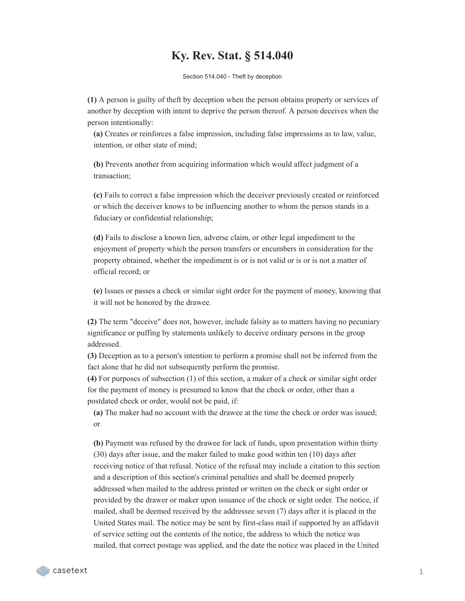## **Ky. Rev. Stat. § 514.040**

Section 514.040 - Theft by deception

**(1)** A person is guilty of theft by deception when the person obtains property or services of another by deception with intent to deprive the person thereof. A person deceives when the person intentionally:

**(a)** Creates or reinforces a false impression, including false impressions as to law, value, intention, or other state of mind;

**(b)** Prevents another from acquiring information which would affect judgment of a transaction;

**(c)** Fails to correct a false impression which the deceiver previously created or reinforced or which the deceiver knows to be influencing another to whom the person stands in a fiduciary or confidential relationship;

**(d)** Fails to disclose a known lien, adverse claim, or other legal impediment to the enjoyment of property which the person transfers or encumbers in consideration for the property obtained, whether the impediment is or is not valid or is or is not a matter of official record; or

**(e)** Issues or passes a check or similar sight order for the payment of money, knowing that it will not be honored by the drawee.

**(2)** The term "deceive" does not, however, include falsity as to matters having no pecuniary significance or puffing by statements unlikely to deceive ordinary persons in the group addressed.

**(3)** Deception as to a person's intention to perform a promise shall not be inferred from the fact alone that he did not subsequently perform the promise.

**(4)** For purposes of subsection (1) of this section, a maker of a check or similar sight order for the payment of money is presumed to know that the check or order, other than a postdated check or order, would not be paid, if:

**(a)** The maker had no account with the drawee at the time the check or order was issued; or

**(b)** Payment was refused by the drawee for lack of funds, upon presentation within thirty (30) days after issue, and the maker failed to make good within ten (10) days after receiving notice of that refusal. Notice of the refusal may include a citation to this section and a description of this section's criminal penalties and shall be deemed properly addressed when mailed to the address printed or written on the check or sight order or provided by the drawer or maker upon issuance of the check or sight order. The notice, if mailed, shall be deemed received by the addressee seven (7) days after it is placed in the United States mail. The notice may be sent by first-class mail if supported by an affidavit of service setting out the contents of the notice, the address to which the notice was mailed, that correct postage was applied, and the date the notice was placed in the United